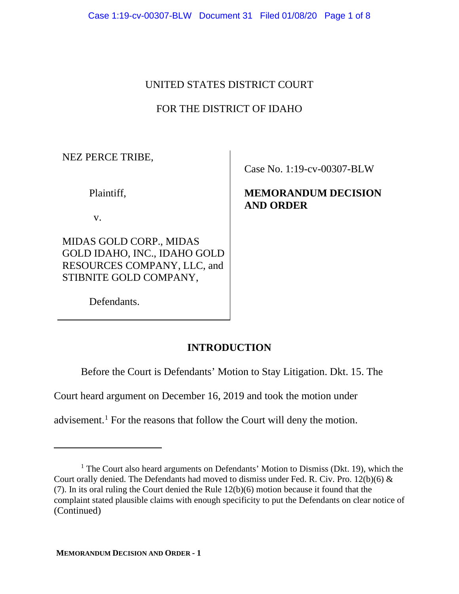## UNITED STATES DISTRICT COURT

# FOR THE DISTRICT OF IDAHO

NEZ PERCE TRIBE,

Plaintiff,

v.

MIDAS GOLD CORP., MIDAS GOLD IDAHO, INC., IDAHO GOLD RESOURCES COMPANY, LLC, and STIBNITE GOLD COMPANY,

Defendants.

Case No. 1:19-cv-00307-BLW

**MEMORANDUM DECISION AND ORDER**

# **INTRODUCTION**

Before the Court is Defendants' Motion to Stay Litigation. Dkt. 15. The

Court heard argument on December 16, 2019 and took the motion under

advisement.[1](#page-0-0) For the reasons that follow the Court will deny the motion.

<span id="page-0-0"></span> $<sup>1</sup>$  The Court also heard arguments on Defendants' Motion to Dismiss (Dkt. 19), which the</sup> Court orally denied. The Defendants had moved to dismiss under Fed. R. Civ. Pro. 12(b)(6) & (7). In its oral ruling the Court denied the Rule 12(b)(6) motion because it found that the complaint stated plausible claims with enough specificity to put the Defendants on clear notice of (Continued)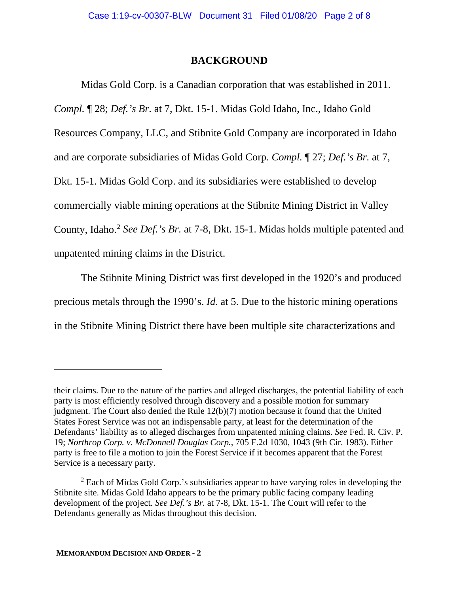### **BACKGROUND**

Midas Gold Corp. is a Canadian corporation that was established in 2011. *Compl.* ¶ 28; *Def.'s Br.* at 7, Dkt. 15-1. Midas Gold Idaho, Inc., Idaho Gold Resources Company, LLC, and Stibnite Gold Company are incorporated in Idaho and are corporate subsidiaries of Midas Gold Corp. *Compl.* ¶ 27; *Def.'s Br.* at 7, Dkt. 15-1. Midas Gold Corp. and its subsidiaries were established to develop commercially viable mining operations at the Stibnite Mining District in Valley County, Idaho.[2](#page-1-0) *See Def.'s Br.* at 7-8, Dkt. 15-1. Midas holds multiple patented and unpatented mining claims in the District.

The Stibnite Mining District was first developed in the 1920's and produced precious metals through the 1990's. *Id.* at 5. Due to the historic mining operations in the Stibnite Mining District there have been multiple site characterizations and

their claims. Due to the nature of the parties and alleged discharges, the potential liability of each party is most efficiently resolved through discovery and a possible motion for summary judgment. The Court also denied the Rule 12(b)(7) motion because it found that the United States Forest Service was not an indispensable party, at least for the determination of the Defendants' liability as to alleged discharges from unpatented mining claims. *See* Fed. R. Civ. P. 19; *Northrop Corp. v. McDonnell Douglas Corp.*, 705 F.2d 1030, 1043 (9th Cir. 1983). Either party is free to file a motion to join the Forest Service if it becomes apparent that the Forest Service is a necessary party.

<span id="page-1-0"></span> $2$  Each of Midas Gold Corp.'s subsidiaries appear to have varying roles in developing the Stibnite site. Midas Gold Idaho appears to be the primary public facing company leading development of the project. *See Def.'s Br.* at 7-8, Dkt. 15-1. The Court will refer to the Defendants generally as Midas throughout this decision.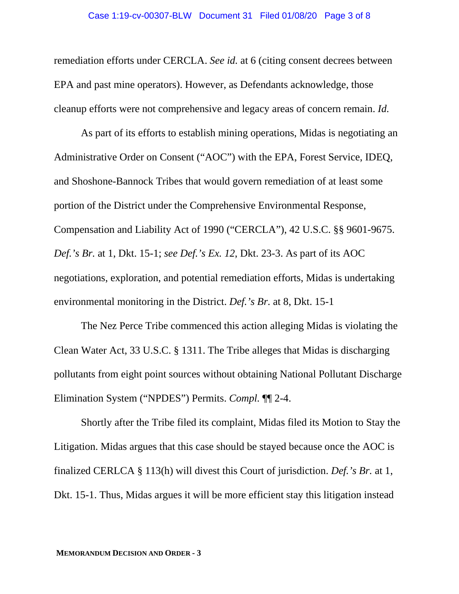remediation efforts under CERCLA. *See id.* at 6 (citing consent decrees between EPA and past mine operators). However, as Defendants acknowledge, those cleanup efforts were not comprehensive and legacy areas of concern remain. *Id.* 

As part of its efforts to establish mining operations, Midas is negotiating an Administrative Order on Consent ("AOC") with the EPA, Forest Service, IDEQ, and Shoshone-Bannock Tribes that would govern remediation of at least some portion of the District under the Comprehensive Environmental Response, Compensation and Liability Act of 1990 ("CERCLA"), 42 U.S.C. §§ 9601-9675. *Def.'s Br.* at 1, Dkt. 15-1; *see Def.'s Ex. 12*, Dkt. 23-3. As part of its AOC negotiations, exploration, and potential remediation efforts, Midas is undertaking environmental monitoring in the District. *Def.'s Br.* at 8, Dkt. 15-1

The Nez Perce Tribe commenced this action alleging Midas is violating the Clean Water Act, 33 U.S.C. § 1311. The Tribe alleges that Midas is discharging pollutants from eight point sources without obtaining National Pollutant Discharge Elimination System ("NPDES") Permits. *Compl.* ¶¶ 2-4.

Shortly after the Tribe filed its complaint, Midas filed its Motion to Stay the Litigation. Midas argues that this case should be stayed because once the AOC is finalized CERLCA § 113(h) will divest this Court of jurisdiction. *Def.'s Br.* at 1, Dkt. 15-1. Thus, Midas argues it will be more efficient stay this litigation instead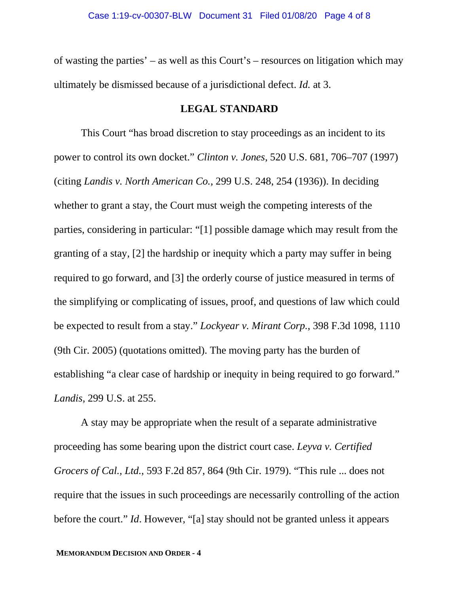of wasting the parties' – as well as this Court's – resources on litigation which may ultimately be dismissed because of a jurisdictional defect. *Id.* at 3.

#### **LEGAL STANDARD**

This Court "has broad discretion to stay proceedings as an incident to its power to control its own docket." *Clinton v. Jones*, 520 U.S. 681, 706–707 (1997) (citing *Landis v. North American Co.*, 299 U.S. 248, 254 (1936)). In deciding whether to grant a stay, the Court must weigh the competing interests of the parties, considering in particular: "[1] possible damage which may result from the granting of a stay, [2] the hardship or inequity which a party may suffer in being required to go forward, and [3] the orderly course of justice measured in terms of the simplifying or complicating of issues, proof, and questions of law which could be expected to result from a stay." *Lockyear v. Mirant Corp.*, 398 F.3d 1098, 1110 (9th Cir. 2005) (quotations omitted). The moving party has the burden of establishing "a clear case of hardship or inequity in being required to go forward." *Landis*, 299 U.S. at 255.

A stay may be appropriate when the result of a separate administrative proceeding has some bearing upon the district court case. *Leyva v. Certified Grocers of Cal., Ltd.*, 593 F.2d 857, 864 (9th Cir. 1979). "This rule ... does not require that the issues in such proceedings are necessarily controlling of the action before the court." *Id*. However, "[a] stay should not be granted unless it appears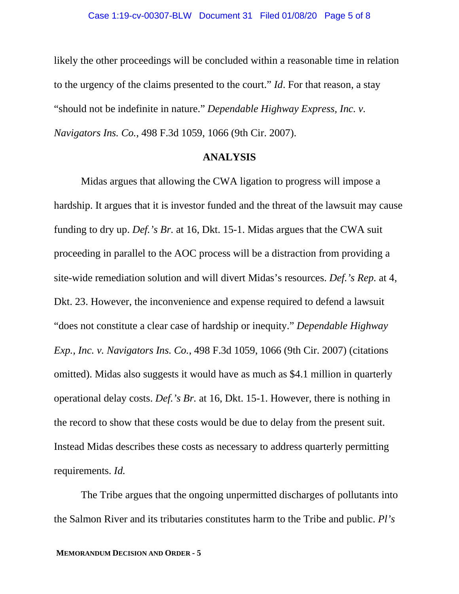likely the other proceedings will be concluded within a reasonable time in relation to the urgency of the claims presented to the court." *Id*. For that reason, a stay "should not be indefinite in nature." *Dependable Highway Express, Inc. v. Navigators Ins. Co.*, 498 F.3d 1059, 1066 (9th Cir. 2007).

#### **ANALYSIS**

Midas argues that allowing the CWA ligation to progress will impose a hardship. It argues that it is investor funded and the threat of the lawsuit may cause funding to dry up. *Def.'s Br.* at 16, Dkt. 15-1. Midas argues that the CWA suit proceeding in parallel to the AOC process will be a distraction from providing a site-wide remediation solution and will divert Midas's resources. *Def.'s Rep.* at 4, Dkt. 23. However, the inconvenience and expense required to defend a lawsuit "does not constitute a clear case of hardship or inequity." *Dependable Highway Exp., Inc. v. Navigators Ins. Co.*, 498 F.3d 1059, 1066 (9th Cir. 2007) (citations omitted). Midas also suggests it would have as much as \$4.1 million in quarterly operational delay costs. *Def.'s Br.* at 16, Dkt. 15-1. However, there is nothing in the record to show that these costs would be due to delay from the present suit. Instead Midas describes these costs as necessary to address quarterly permitting requirements. *Id.* 

The Tribe argues that the ongoing unpermitted discharges of pollutants into the Salmon River and its tributaries constitutes harm to the Tribe and public. *Pl's*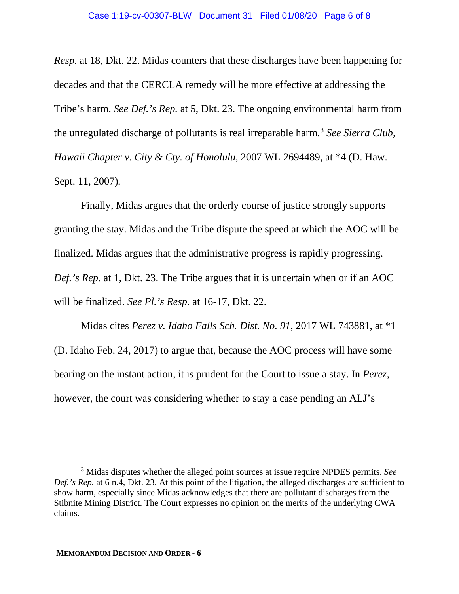*Resp.* at 18, Dkt. 22. Midas counters that these discharges have been happening for decades and that the CERCLA remedy will be more effective at addressing the Tribe's harm. *See Def.'s Rep.* at 5, Dkt. 23. The ongoing environmental harm from the unregulated discharge of pollutants is real irreparable harm.<sup>[3](#page-5-0)</sup> *See Sierra Club*, *Hawaii Chapter v. City & Cty. of Honolulu,* 2007 WL 2694489, at \*4 (D. Haw. Sept. 11, 2007)*.*

Finally, Midas argues that the orderly course of justice strongly supports granting the stay. Midas and the Tribe dispute the speed at which the AOC will be finalized. Midas argues that the administrative progress is rapidly progressing. *Def.'s Rep.* at 1, Dkt. 23. The Tribe argues that it is uncertain when or if an AOC will be finalized. *See Pl.'s Resp.* at 16-17, Dkt. 22.

Midas cites *Perez v. Idaho Falls Sch. Dist. No. 91*, 2017 WL 743881, at \*1 (D. Idaho Feb. 24, 2017) to argue that, because the AOC process will have some bearing on the instant action, it is prudent for the Court to issue a stay. In *Perez*, however, the court was considering whether to stay a case pending an ALJ's

<span id="page-5-0"></span><sup>3</sup> Midas disputes whether the alleged point sources at issue require NPDES permits. *See Def.'s Rep.* at 6 n.4, Dkt. 23. At this point of the litigation, the alleged discharges are sufficient to show harm, especially since Midas acknowledges that there are pollutant discharges from the Stibnite Mining District. The Court expresses no opinion on the merits of the underlying CWA claims.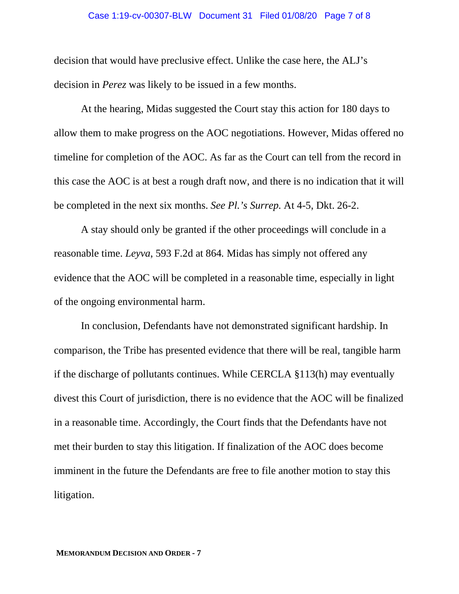#### Case 1:19-cv-00307-BLW Document 31 Filed 01/08/20 Page 7 of 8

decision that would have preclusive effect. Unlike the case here, the ALJ's decision in *Perez* was likely to be issued in a few months.

At the hearing, Midas suggested the Court stay this action for 180 days to allow them to make progress on the AOC negotiations. However, Midas offered no timeline for completion of the AOC. As far as the Court can tell from the record in this case the AOC is at best a rough draft now, and there is no indication that it will be completed in the next six months. *See Pl.'s Surrep.* At 4-5, Dkt. 26-2.

A stay should only be granted if the other proceedings will conclude in a reasonable time. *Leyva*, 593 F.2d at 864*.* Midas has simply not offered any evidence that the AOC will be completed in a reasonable time, especially in light of the ongoing environmental harm.

In conclusion, Defendants have not demonstrated significant hardship. In comparison, the Tribe has presented evidence that there will be real, tangible harm if the discharge of pollutants continues. While CERCLA §113(h) may eventually divest this Court of jurisdiction, there is no evidence that the AOC will be finalized in a reasonable time. Accordingly, the Court finds that the Defendants have not met their burden to stay this litigation. If finalization of the AOC does become imminent in the future the Defendants are free to file another motion to stay this litigation.